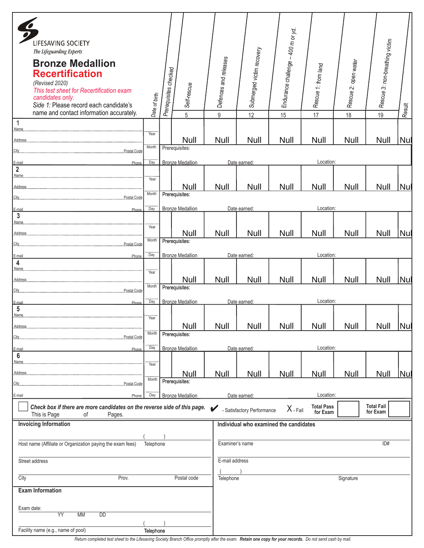| LIFESAVING SOCIETY<br>The Lifeguarding Experts<br><b>Bronze Medallion</b><br><b>Recertification</b><br>(Revised 2020)<br>This test sheet for Recertification exam<br>candidates only.<br>Side 1: Please record each candidate's<br>name and contact information accurately. | Date of birth                  | Prerequisites checked | Self-rescue                   | Defences and releases | Submerged victim recovery | Endurance challenge – 400 m or yd.     | Rescue 1: from land | Rescue 2: open water | Rescue 3: non-breathing victim | Result |  |
|-----------------------------------------------------------------------------------------------------------------------------------------------------------------------------------------------------------------------------------------------------------------------------|--------------------------------|-----------------------|-------------------------------|-----------------------|---------------------------|----------------------------------------|---------------------|----------------------|--------------------------------|--------|--|
| -1                                                                                                                                                                                                                                                                          |                                |                       | $\overline{5}$                | $\overline{9}$        | 12                        | 15                                     | 17                  | 18                   | 19                             |        |  |
| Name<br>Address.<br>Postal Code                                                                                                                                                                                                                                             | Year<br>Month                  |                       | Null<br>Prerequisites:        | <b>Null</b>           | <b>Null</b>               | Null                                   | <b>Null</b>         | <b>Null</b>          | <b>Null</b>                    | Nul    |  |
| E-mail<br>Phone                                                                                                                                                                                                                                                             | Day                            |                       | <b>Bronze Medallion</b>       |                       | Date earned:              |                                        | Location:           |                      |                                |        |  |
| $\overline{2}$<br>Name<br>Address.                                                                                                                                                                                                                                          | Year                           |                       | <b>Null</b>                   | <b>Null</b>           | <b>Null</b>               | <b>Null</b>                            | <b>Null</b>         | Null                 | <b>Null</b>                    | Nul    |  |
| City<br>Postal Code                                                                                                                                                                                                                                                         | Month                          |                       | Prerequisites:                |                       |                           |                                        |                     |                      |                                |        |  |
| E-mail<br>Phone<br>$\overline{3}$                                                                                                                                                                                                                                           | <br>Day                        |                       | <b>Bronze Medallion</b>       |                       | Date earned:              |                                        | Location:           |                      |                                |        |  |
|                                                                                                                                                                                                                                                                             | Year<br>Month                  |                       | <b>Null</b><br>Prerequisites: | <b>Null</b>           | <b>Null</b>               | Null                                   | <b>Null</b>         | Null                 | <b>Null</b>                    | Nul    |  |
| City.<br>Postal Code                                                                                                                                                                                                                                                        | <br>Day                        |                       |                               |                       |                           |                                        |                     |                      |                                |        |  |
| E-mail<br>Phone<br>4<br>Name.                                                                                                                                                                                                                                               |                                |                       | <b>Bronze Medallion</b>       |                       | Date earned:              |                                        | Location:           |                      |                                |        |  |
|                                                                                                                                                                                                                                                                             | <br>Year<br>Month <sup>"</sup> |                       | <b>Null</b><br>Prerequisites: | <b>Null</b>           | <b>Null</b>               | Null                                   | <b>Null</b>         | Null                 | <b>Null</b>                    | Nul    |  |
| Postal.Code<br>City<br>E-mail<br>Phone                                                                                                                                                                                                                                      | <br>Day                        |                       | <b>Bronze Medallion</b>       |                       | Date earned:              |                                        | Location:           |                      |                                |        |  |
| $5\phantom{.0}$                                                                                                                                                                                                                                                             | Year                           |                       | <b>Null</b>                   | <b>Null</b>           | <b>Null</b>               | Null                                   | <b>Null</b>         | Null                 | <b>Null</b>                    | Nu     |  |
| Postal Code<br>City                                                                                                                                                                                                                                                         | Month                          |                       | Prerequisites:                |                       |                           |                                        |                     |                      |                                |        |  |
| E-mail<br>Phone                                                                                                                                                                                                                                                             | Day                            |                       | <b>Bronze Medallion</b>       |                       | Date earned:              |                                        | Location:           |                      |                                |        |  |
| $6\phantom{1}6$<br>Address.                                                                                                                                                                                                                                                 | Year                           |                       | Null                          | <b>Null</b>           | <b>Null</b>               |                                        | Null                | Null                 | <b>Null</b>                    | Nul    |  |
| Postal Code                                                                                                                                                                                                                                                                 | Month                          |                       | Prerequisites:                |                       |                           | Null                                   |                     |                      |                                |        |  |
| E-mail<br>Phone                                                                                                                                                                                                                                                             | Day                            |                       | <b>Bronze Medallion</b>       |                       | Date earned:              |                                        | Location:           |                      |                                |        |  |
| <b>Total Fail</b><br><b>Total Pass</b><br>Check box if there are more candidates on the reverse side of this page.<br>X - Fail<br>V<br>- Satisfactory Performance<br>for Exam<br>for Exam<br>This is Page<br>of<br>Pages.                                                   |                                |                       |                               |                       |                           |                                        |                     |                      |                                |        |  |
| <b>Invoicing Information</b>                                                                                                                                                                                                                                                |                                |                       |                               |                       |                           | Individual who examined the candidates |                     |                      |                                |        |  |
| Host name (Affiliate or Organization paying the exam fees)<br>Telephone                                                                                                                                                                                                     |                                |                       |                               |                       | Examiner's name<br>ID#    |                                        |                     |                      |                                |        |  |
| Street address                                                                                                                                                                                                                                                              |                                |                       |                               | E-mail address        |                           |                                        |                     |                      |                                |        |  |
| City<br>Prov.<br>Postal code                                                                                                                                                                                                                                                |                                |                       |                               |                       | Signature<br>Telephone    |                                        |                     |                      |                                |        |  |
| <b>Exam Information</b>                                                                                                                                                                                                                                                     |                                |                       |                               |                       |                           |                                        |                     |                      |                                |        |  |
| Exam date:<br>YY<br><b>MM</b><br><b>DD</b>                                                                                                                                                                                                                                  |                                |                       |                               |                       |                           |                                        |                     |                      |                                |        |  |
| Facility name (e.g., name of pool)                                                                                                                                                                                                                                          | Telephone                      |                       |                               |                       |                           |                                        |                     |                      |                                |        |  |

*Return completed test sheet to the Lifesaving Society Branch Office promptly after the exam. Retain one copy for your records. Do not send cash by mail.*